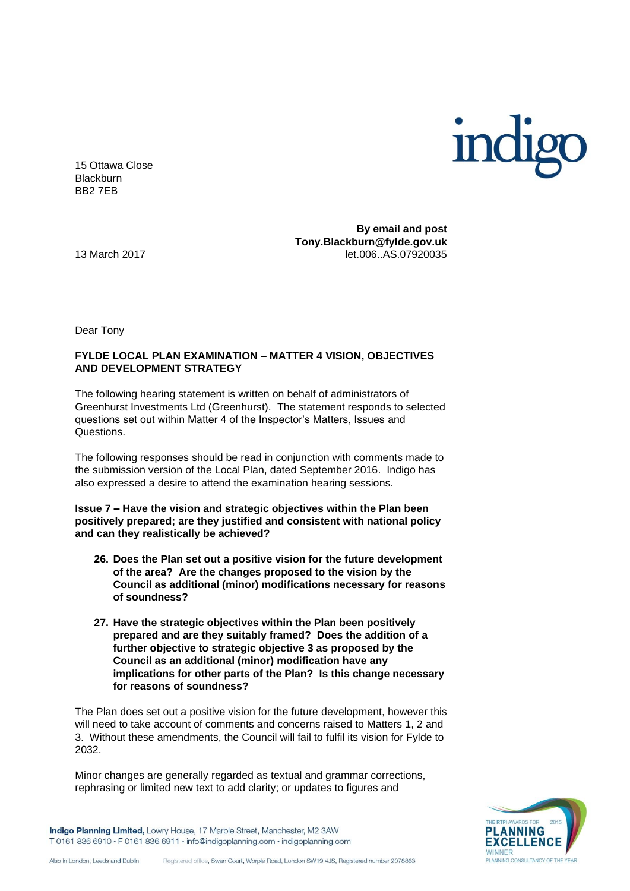

15 Ottawa Close **Blackburn** BB2 7EB

**By email and post Tony.Blackburn@fylde.gov.uk**  13 March 2017 let.006..AS.07920035

Dear Tony

## **FYLDE LOCAL PLAN EXAMINATION – MATTER 4 VISION, OBJECTIVES AND DEVELOPMENT STRATEGY**

The following hearing statement is written on behalf of administrators of Greenhurst Investments Ltd (Greenhurst). The statement responds to selected questions set out within Matter 4 of the Inspector's Matters, Issues and Questions.

The following responses should be read in conjunction with comments made to the submission version of the Local Plan, dated September 2016. Indigo has also expressed a desire to attend the examination hearing sessions.

**Issue 7 – Have the vision and strategic objectives within the Plan been positively prepared; are they justified and consistent with national policy and can they realistically be achieved?**

- **26. Does the Plan set out a positive vision for the future development of the area? Are the changes proposed to the vision by the Council as additional (minor) modifications necessary for reasons of soundness?**
- **27. Have the strategic objectives within the Plan been positively prepared and are they suitably framed? Does the addition of a further objective to strategic objective 3 as proposed by the Council as an additional (minor) modification have any implications for other parts of the Plan? Is this change necessary for reasons of soundness?**

The Plan does set out a positive vision for the future development, however this will need to take account of comments and concerns raised to Matters 1, 2 and 3. Without these amendments, the Council will fail to fulfil its vision for Fylde to 2032.

Minor changes are generally regarded as textual and grammar corrections, rephrasing or limited new text to add clarity; or updates to figures and